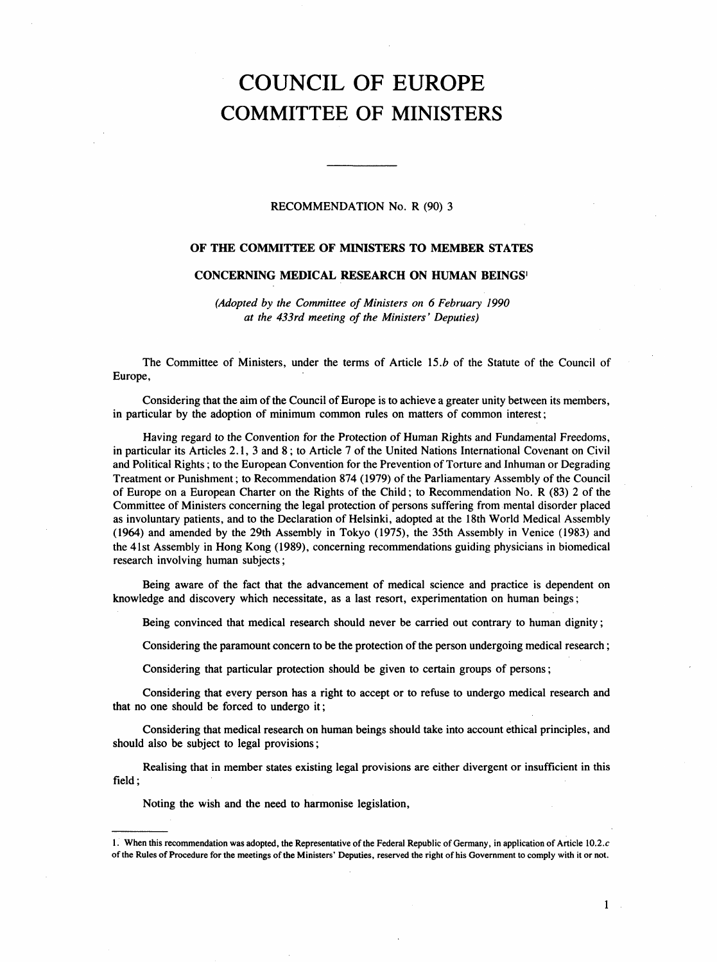# COUNCIL OF EUROPE COMMITTEE OF MINISTERS

## RECOMMENDATION No. R (90) 3

# OF THE COMMITTEE OF MINISTERS TO MEMBER STATES

# CONCERNING MEDICAL RESEARCH ON HUMAN BEINGS'

(Adopted by the Committee of Ministers on 6 February 1990 at the 433rd meeting of the Ministers' Deputies)

The Committee of Ministers, under the terms of Article 15.b of the Statute of the Council of Europe,

Considering that the aim of the Council of Europe is to achieve a greater unity between its members, in particular by the adoption of minimum common rules on matters of common interest;

Having regard to the Convention for the Protection of Human Rights and Fundamental Freedoms, in particular its Articles 2.1,3 and 8; to Article 7 of the United Nations International Covenant on Civil and Political Rights; to the European Convention for the Prevention of Torture and Inhuman or Degrading Treatment or Punishment; to Recommendation 874 (1979) of the Parliamentary Assembly of the Council of Europe on a European Charter on the Rights of the Child; to Recommendation No. R (83) 2 of the Committee of Ministers concerning the legal protection of persons suffering from mental disorder placed as involuntary patients, and to the Declaration of Helsinki, adopted at the 18th World Medical Assembly (1964) and amended by the 29th Assembly in Tokyo (1975), the 35th Assembly in Venice (1983) and the 41st Assembly in Hong Kong (1989), concerning recommendations guiding physicians in biomedical research involving human subjects;

Being aware of the fact that the advancement of medical science and practice is dependent on knowledge and discovery which necessitate, as a last resort, experimentation on human beings;

Being convinced that medical research should never be carried out contrary to human dignity;

Considering the paramount concern to be the protection of the person undergoing medical research;

Considering that particular protection should be given to certain groups of persons;

Considering that every person has a right to accept or to refuse to undergo medical research and that no one should be forced to undergo it;

Considering that medical research on human beings should take into account ethical principles, and should also be subject to legal provisions;

Realising that in member states existing legal provisions are either divergent or insufficient in this field;

Noting the wish and the need to harmonise legislation,

1

<sup>1.</sup> When this recommendation was adopted, the Representative of the Federal Republic of Germany, in application of Article 10.2.c of the Rules of Procedure for the meetings of the Ministers' Deputies, reserved the right of his Government to comply with it or not.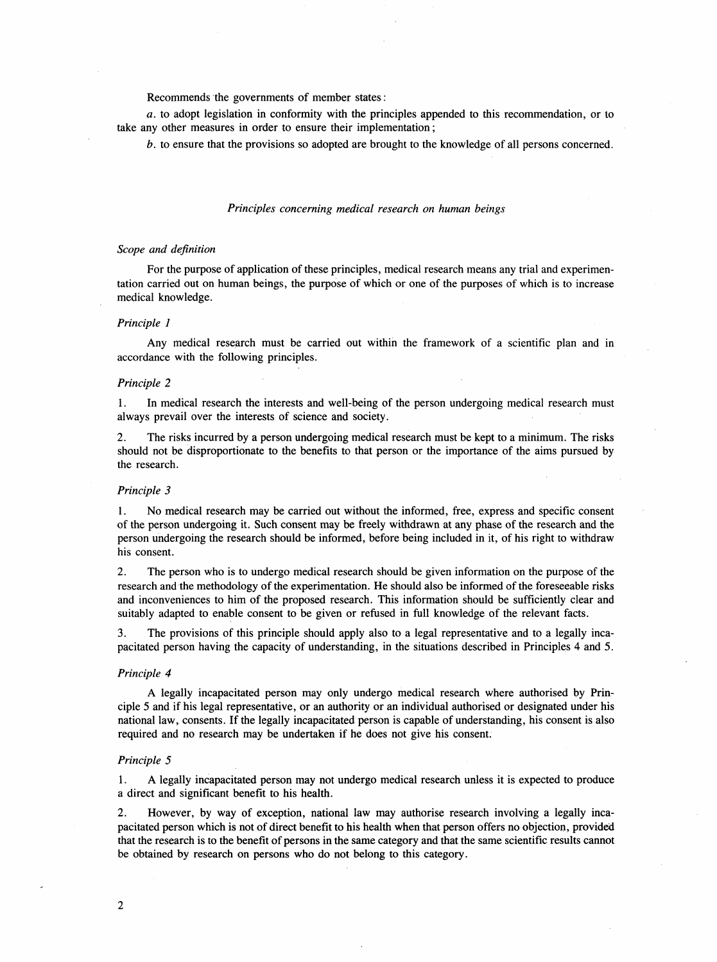Recommends the governments of member states:

a. to adopt legislation in conformity with the principles appended to this recommendation, or to take any other measures in order to ensure their implementation;

b. to ensure that the provisions so adopted are brought to the knowledge of all persons concerned.

## Principles concerning medical research on human beings

## Scope and definition

For the purpose of application of these principles, medical research means any trial and experimentation carried out on human beings, the purpose of which or one of the purposes of which is to increase medical knowledge.

## Principle 1

Any medical research must be carried out within the framework of a scientific plan and in accordance with the following principles.

## Principle 2

1. In medical research the interests and well-being of the person undergoing medical research must always prevail over the interests of science and society.

2. The risks incurred by a person undergoing medical research must be kept to a minimum. The risks should not be disproportionate to the benefits to that person or the importance of the aims pursued by the research.

## Principle 3

1. No medical research may be carried out without the informed, free, express and specific consent of the person undergoing it. Such consent may be freely withdrawn at any phase of the research and the person undergoing the research should be informed, before being included in it, of his right to withdraw his consent.

2. The person who is to undergo medical research should be given information on the purpose of the research and the methodology of the experimentation. He should also be informed of the foreseeable risks and inconveniences to him of the proposed research. This information should be sufficiently clear and suitably adapted to enable consent to be given or refused in full knowledge of the relevant facts.

3. The provisions of this principle should apply also to a legal representative and to a legally incapacitated person having the capacity of understanding, in the situations described in Principles 4 and 5.

#### Principle 4

A legally incapacitated person may only undergo medical research where authorised by Principle 5 and if his legal representative, or an authority or an individual authorised or designated under his national law, consents. If the legally incapacitated person is capable of understanding, his consent is also required and no research may be undertaken if he does not give his consent.

#### Principle 5

1. A legally incapacitated person may not undergo medical research unless it is expected to produce a direct and significant benefit to his health.

2. However, by way of exception, national law may authorise research involving a legally incapacitated person which is not of direct benefit to his health when that person offers no objection, provided that the research is to the benefit of persons in the same category and that the same scientific results cannot be obtained by research on persons who do not belong to this category.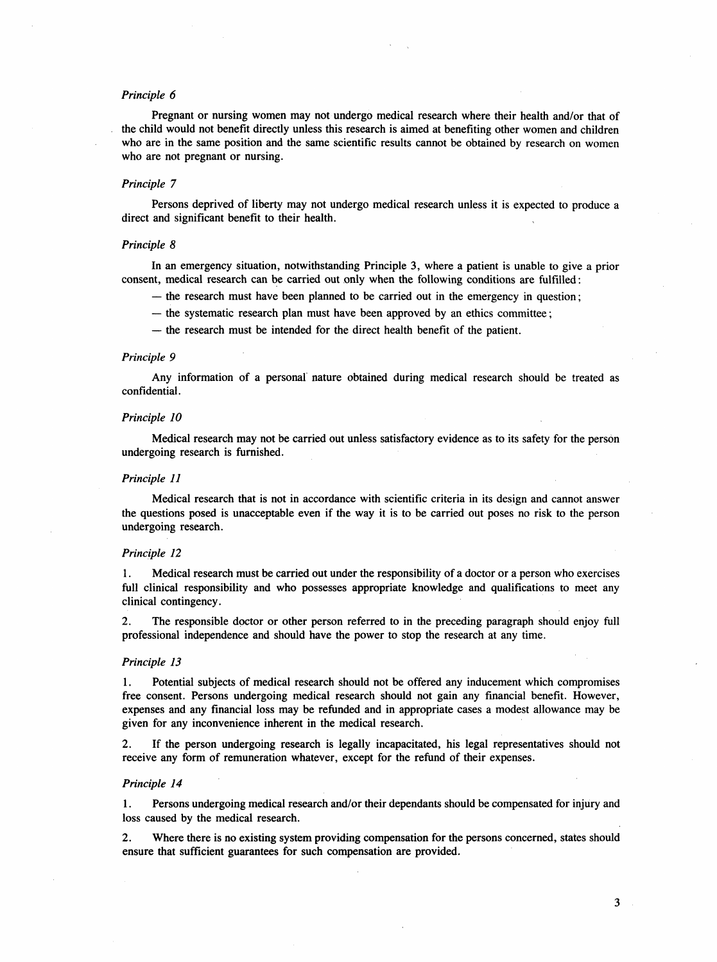## Principle 6

Pregnant or nursing women may not undergo medical research where their health and/or that of the child would not benefit directly unless this research is aimed at benefiting other women and children who are in the same position and the same scientific results cannot be obtained by research on women who are not pregnant or nursing.

## Principle 7

Persons deprived of liberty may not undergo medical research unless it is expected to produce a direct and significant benefit to their health.

# Principle 8

In an emergency situation, notwithstanding Principle 3, where a patient is unable to give a prior consent, medical research can be carried out only when the following conditions are fulfilled:

- the research must have been planned to be carried out in the emergency in question;
- the systematic research plan must have been approved by an ethics committee;
- the research must be intended for the direct health benefit of the patient.

#### Principle 9

Any information of a personal nature obtained during medical research should be treated as confidential.

#### Principle 10

Medical research may not be carried out unless satisfactory evidence as to its safety for the person undergoing research is furnished.

#### Principle 11

Medical research that is not in accordance with scientific criteria in its design and cannot answer the questions posed is unacceptable even if the way it is to be carried out poses no risk to the person undergoing research.

#### Principle 12

1. Medical research must be carried out under the responsibility of a doctor or a person who exercises full clinical responsibility and who possesses appropriate knowledge and qualifications to meet any clinical contingency.

2. The responsible doctor or other person referred to in the preceding paragraph should enjoy full professional independence and should have the power to stop the research at any time.

#### Principle 13

1. Potential subjects of medical research should not be offered any inducement which compromises free consent. Persons undergoing medical research should not gain any financial benefit. However, expenses and any financial loss may be refunded and in appropriate cases a modest allowance may be given for any inconvenience inherent in the medical research.

2. If the person undergoing research is legally incapacitated, his legal representatives should not receive any form of remuneration whatever, except for the refund of their expenses.

#### Principle 14

1. Persons undergoing medical research and/or their dependants should be compensated for injury and loss caused by the medical research.

2. Where there is no existing system providing compensation for the persons concerned, states should ensure that sufficient guarantees for such compensation are provided.

3